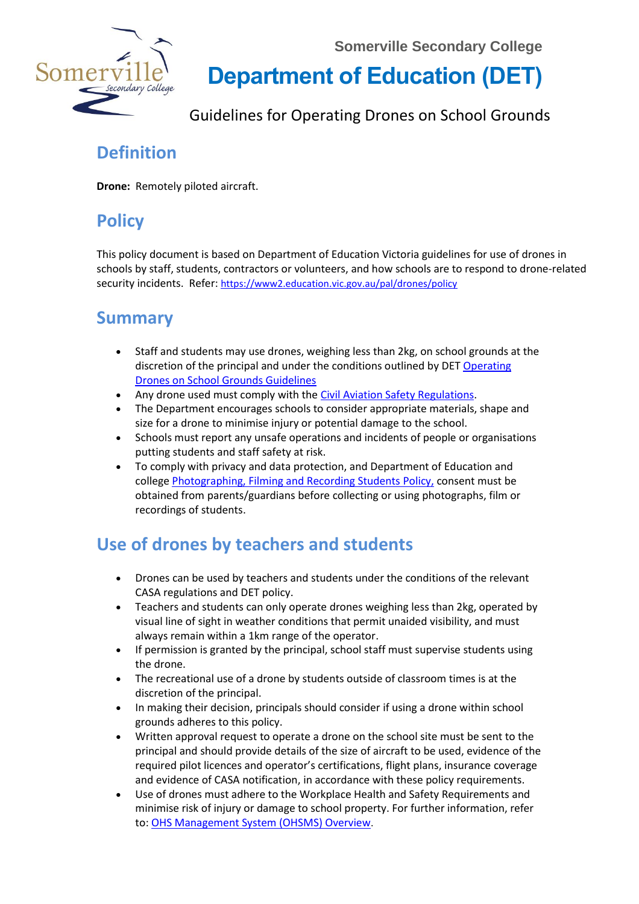**Somerville Secondary College**



**Department of Education (DET)** 

Guidelines for Operating Drones on School Grounds

### **Definition**

**Drone:** Remotely piloted aircraft.

# **Policy**

This policy document is based on Department of Education Victoria guidelines for use of drones in schools by staff, students, contractors or volunteers, and how schools are to respond to drone-related security incidents. Refer: <https://www2.education.vic.gov.au/pal/drones/policy>

#### **Summary**

- Staff and students may use drones, weighing less than 2kg, on school grounds at the discretion of the principal and under the conditions outlined by DET Operating [Drones on School Grounds Guidelines](https://www2.education.vic.gov.au/pal/drones/guidance)
- Any drone used must comply with the [Civil Aviation Safety Regulations.](https://www.casa.gov.au/rules-and-regulations)
- The Department encourages schools to consider appropriate materials, shape and size for a drone to minimise injury or potential damage to the school.
- Schools must report any unsafe operations and incidents of people or organisations putting students and staff safety at risk.
- To comply with privacy and data protection, and Department of Education and college [Photographing, Filming and Recording Students](https://www2.education.vic.gov.au/pal/photographing-students/policy) Policy, consent must be obtained from parents/guardians before collecting or using photographs, film or recordings of students.

# **Use of drones by teachers and students**

- Drones can be used by teachers and students under the conditions of the relevant CASA regulations and DET policy.
- Teachers and students can only operate drones weighing less than 2kg, operated by visual line of sight in weather conditions that permit unaided visibility, and must always remain within a 1km range of the operator.
- If permission is granted by the principal, school staff must supervise students using the drone.
- The recreational use of a drone by students outside of classroom times is at the discretion of the principal.
- In making their decision, principals should consider if using a drone within school grounds adheres to this policy.
- Written approval request to operate a drone on the school site must be sent to the principal and should provide details of the size of aircraft to be used, evidence of the required pilot licences and operator's certifications, flight plans, insurance coverage and evidence of CASA notification, in accordance with these policy requirements.
- Use of drones must adhere to the Workplace Health and Safety Requirements and minimise risk of injury or damage to school property. For further information, refer to: [OHS Management System \(OHSMS\) Overview](https://www2.education.vic.gov.au/node/1213).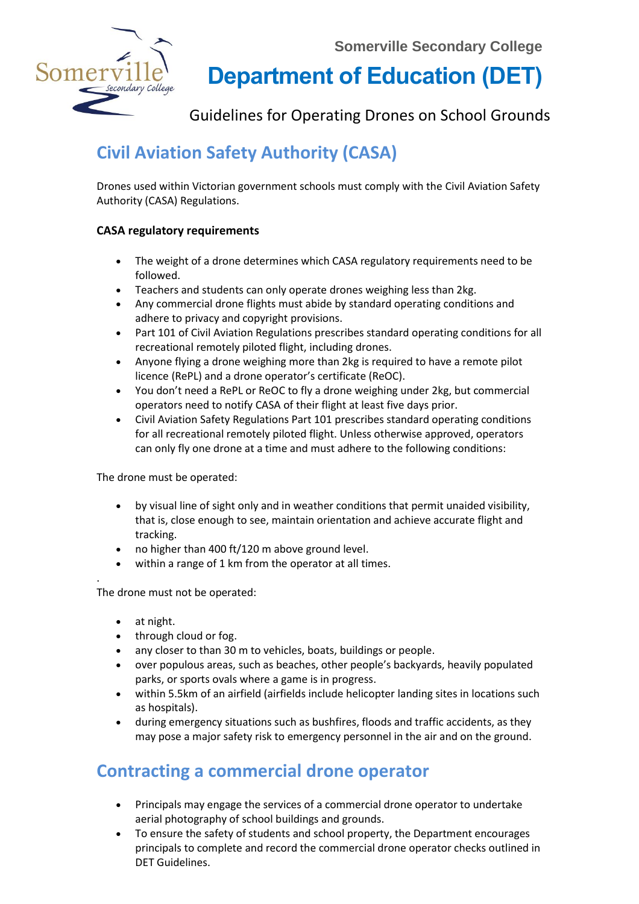

**Department of Education (DET)** 

Guidelines for Operating Drones on School Grounds

# **Civil Aviation Safety Authority (CASA)**

Drones used within Victorian government schools must comply with the [Civil Aviation Safety](https://www.casa.gov.au/rules-and-regulations)  [Authority \(CASA\) Regulations.](https://www.casa.gov.au/rules-and-regulations)

#### **CASA regulatory requirements**

- The weight of a drone determines which CASA regulatory requirements need to be followed.
- Teachers and students can only operate drones weighing less than 2kg.
- Any commercial drone flights must abide by standard operating conditions and adhere to privacy and copyright provisions.
- Part 101 of Civil Aviation Regulations prescribes standard operating conditions for all recreational remotely piloted flight, including drones.
- Anyone flying a drone weighing more than 2kg is required to have a remote pilot licence (RePL) and a drone operator's certificate (ReOC).
- You don't need a RePL or ReOC to fly a drone weighing under 2kg, but commercial operators need to notify CASA of their flight at least five days prior.
- Civil Aviation Safety Regulations Part 101 prescribes standard operating conditions for all recreational remotely piloted flight. Unless otherwise approved, operators can only fly one drone at a time and must adhere to the following conditions:

The drone must be operated:

- by visual line of sight only and in weather conditions that permit unaided visibility, that is, close enough to see, maintain orientation and achieve accurate flight and tracking.
- no higher than 400 ft/120 m above ground level.
- within a range of 1 km from the operator at all times.

. The drone must not be operated:

- at night.
- through cloud or fog.
- any closer to than 30 m to vehicles, boats, buildings or people.
- over populous areas, such as beaches, other people's backyards, heavily populated parks, or sports ovals where a game is in progress.
- within 5.5km of an airfield (airfields include helicopter landing sites in locations such as hospitals).
- during emergency situations such as bushfires, floods and traffic accidents, as they may pose a major safety risk to emergency personnel in the air and on the ground.

## **Contracting a commercial drone operator**

- Principals may engage the services of a commercial drone operator to undertake aerial photography of school buildings and grounds.
- To ensure the safety of students and school property, the Department encourages principals to complete and record the commercial drone operator checks outlined in DET Guidelines.